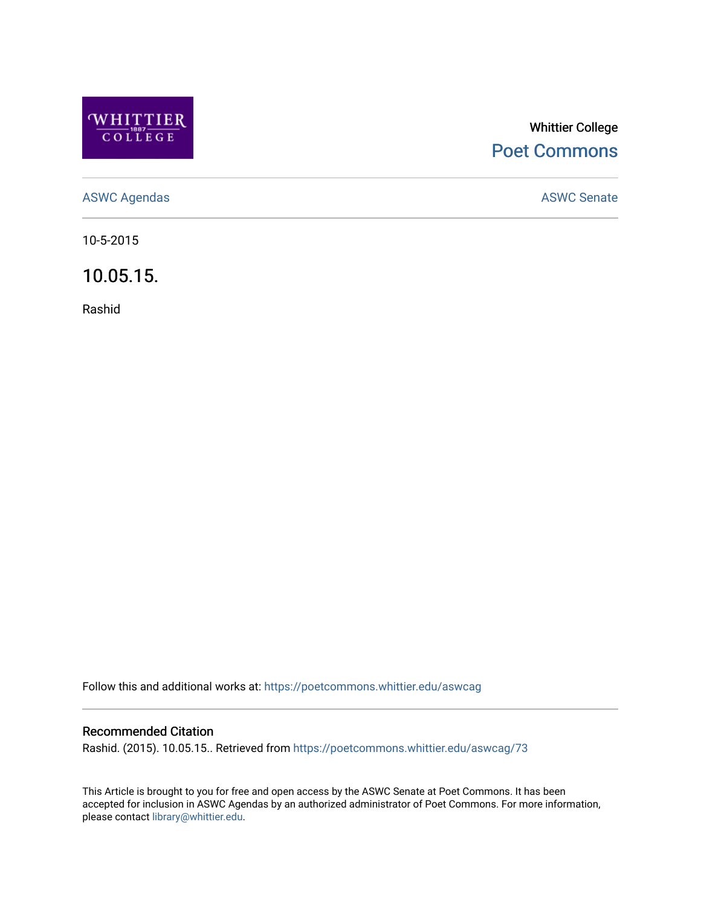

## Whittier College [Poet Commons](https://poetcommons.whittier.edu/)

[ASWC Agendas](https://poetcommons.whittier.edu/aswcag) **ASWC Senate** 

10-5-2015

10.05.15.

Rashid

Follow this and additional works at: [https://poetcommons.whittier.edu/aswcag](https://poetcommons.whittier.edu/aswcag?utm_source=poetcommons.whittier.edu%2Faswcag%2F73&utm_medium=PDF&utm_campaign=PDFCoverPages) 

## Recommended Citation

Rashid. (2015). 10.05.15.. Retrieved from [https://poetcommons.whittier.edu/aswcag/73](https://poetcommons.whittier.edu/aswcag/73?utm_source=poetcommons.whittier.edu%2Faswcag%2F73&utm_medium=PDF&utm_campaign=PDFCoverPages)

This Article is brought to you for free and open access by the ASWC Senate at Poet Commons. It has been accepted for inclusion in ASWC Agendas by an authorized administrator of Poet Commons. For more information, please contact [library@whittier.edu](mailto:library@whittier.edu).